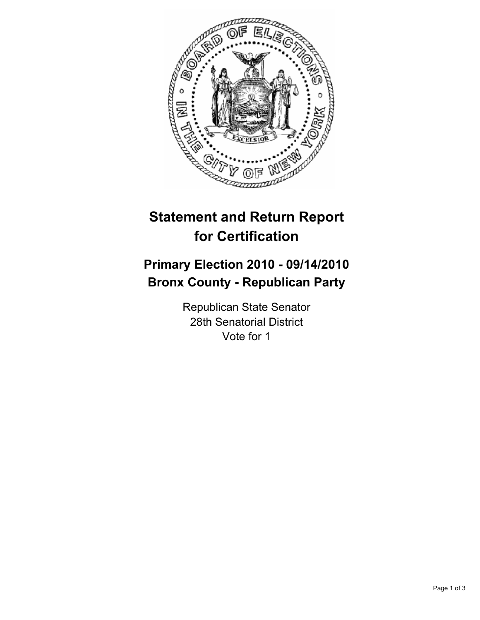

# **Statement and Return Report for Certification**

## **Primary Election 2010 - 09/14/2010 Bronx County - Republican Party**

Republican State Senator 28th Senatorial District Vote for 1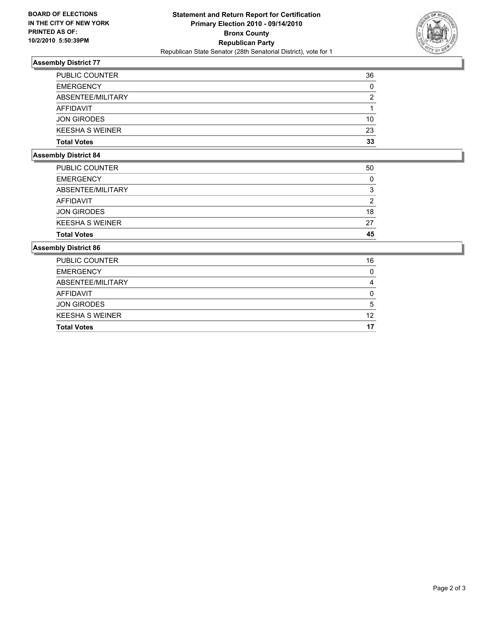

### **Assembly District 77**

| <b>Total Votes</b>     | 33 |
|------------------------|----|
| <b>KEESHA S WEINER</b> | 23 |
| <b>JON GIRODES</b>     | 10 |
| AFFIDAVIT              |    |
| ABSENTEE/MILITARY      | 2  |
| <b>EMERGENCY</b>       | 0  |
| <b>PUBLIC COUNTER</b>  | 36 |

#### **Assembly District 84**

| <b>Total Votes</b>     | 45 |
|------------------------|----|
| <b>KEESHA S WEINER</b> | 27 |
| <b>JON GIRODES</b>     | 18 |
| AFFIDAVIT              | 2  |
| ABSENTEE/MILITARY      | 3  |
| <b>EMERGENCY</b>       | 0  |
| <b>PUBLIC COUNTER</b>  | 50 |
|                        |    |

#### **Assembly District 86**

| <b>Total Votes</b>     | 17 |
|------------------------|----|
| <b>KEESHA S WEINER</b> | 12 |
| <b>JON GIRODES</b>     | 5  |
| AFFIDAVIT              | 0  |
| ABSENTEE/MILITARY      | 4  |
| <b>EMERGENCY</b>       | 0  |
| <b>PUBLIC COUNTER</b>  | 16 |